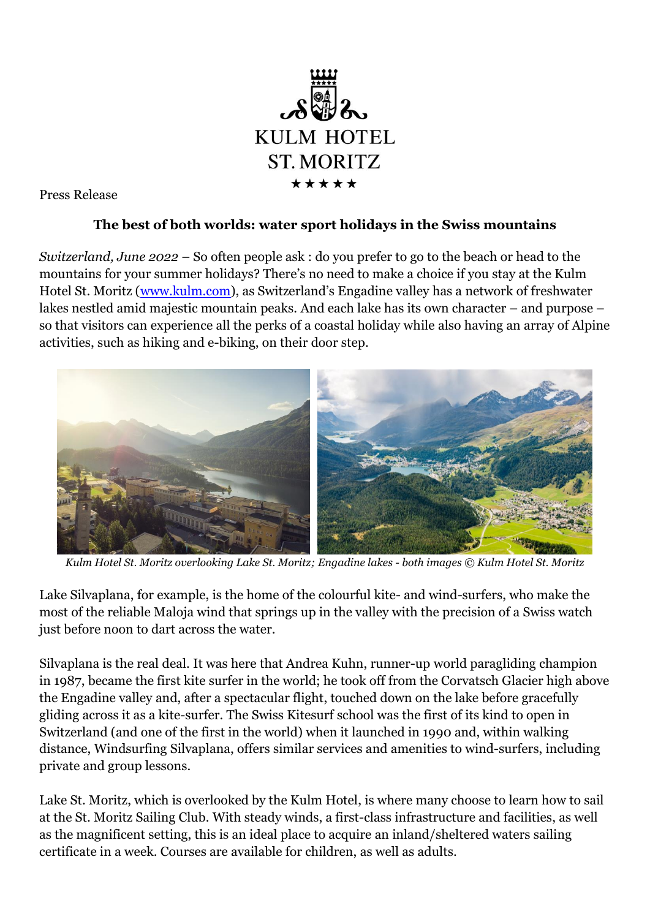

Press Release

## **The best of both worlds: water sport holidays in the Swiss mountains**

*Switzerland, June 2022* – So often people ask : do you prefer to go to the beach or head to the mountains for your summer holidays? There's no need to make a choice if you stay at the Kulm Hotel St. Moritz [\(www.kulm.com\)](http://www.kulm.com/), as Switzerland's Engadine valley has a network of freshwater lakes nestled amid majestic mountain peaks. And each lake has its own character – and purpose – so that visitors can experience all the perks of a coastal holiday while also having an array of Alpine activities, such as hiking and e-biking, on their door step.



*Kulm Hotel St. Moritz overlooking Lake St. Moritz; Engadine lakes - both images © Kulm Hotel St. Moritz*

Lake Silvaplana, for example, is the home of the colourful kite- and wind-surfers, who make the most of the reliable Maloja wind that springs up in the valley with the precision of a Swiss watch just before noon to dart across the water.

Silvaplana is the real deal. It was here that Andrea Kuhn, runner-up world paragliding champion in 1987, became the first kite surfer in the world; he took off from the Corvatsch Glacier high above the Engadine valley and, after a spectacular flight, touched down on the lake before gracefully gliding across it as a kite-surfer. The Swiss Kitesurf school was the first of its kind to open in Switzerland (and one of the first in the world) when it launched in 1990 and, within walking distance, Windsurfing Silvaplana, offers similar services and amenities to wind-surfers, including private and group lessons.

Lake St. Moritz, which is overlooked by the Kulm Hotel, is where many choose to learn how to sail at the St. Moritz Sailing Club. With steady winds, a first-class infrastructure and facilities, as well as the magnificent setting, this is an ideal place to acquire an inland/sheltered waters sailing certificate in a week. Courses are available for children, as well as adults.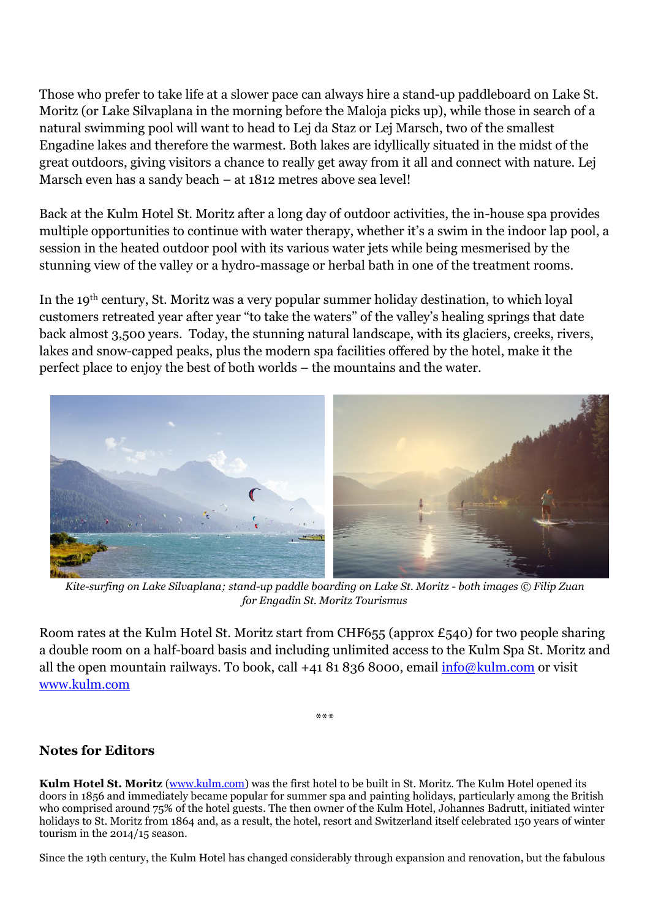Those who prefer to take life at a slower pace can always hire a stand-up paddleboard on Lake St. Moritz (or Lake Silvaplana in the morning before the Maloja picks up), while those in search of a natural swimming pool will want to head to Lej da Staz or Lej Marsch, two of the smallest Engadine lakes and therefore the warmest. Both lakes are idyllically situated in the midst of the great outdoors, giving visitors a chance to really get away from it all and connect with nature. Lej Marsch even has a sandy beach – at 1812 metres above sea level!

Back at the Kulm Hotel St. Moritz after a long day of outdoor activities, the in-house spa provides multiple opportunities to continue with water therapy, whether it's a swim in the indoor lap pool, a session in the heated outdoor pool with its various water jets while being mesmerised by the stunning view of the valley or a hydro-massage or herbal bath in one of the treatment rooms.

In the 19th century, St. Moritz was a very popular summer holiday destination, to which loyal customers retreated year after year "to take the waters" of the valley's healing springs that date back almost 3,500 years. Today, the stunning natural landscape, with its glaciers, creeks, rivers, lakes and snow-capped peaks, plus the modern spa facilities offered by the hotel, make it the perfect place to enjoy the best of both worlds – the mountains and the water.



*Kite-surfing on Lake Silvaplana; stand-up paddle boarding on Lake St. Moritz - both images © Filip Zuan for Engadin St. Moritz Tourismus*

Room rates at the Kulm Hotel St. Moritz start from CHF655 (approx £540) for two people sharing a double room on a half-board basis and including unlimited access to the Kulm Spa St. Moritz and all the open mountain railways. To book, call  $+41818368000$ , email  $info@kulm.com$  or visit [www.kulm.com](http://www.kulm.com/)

\*\*\*

## **Notes for Editors**

**Kulm Hotel St. Moritz** [\(www.kulm.com\)](http://www.kulm.com/) was the first hotel to be built in St. Moritz. The Kulm Hotel opened its doors in 1856 and immediately became popular for summer spa and painting holidays, particularly among the British who comprised around 75% of the hotel guests. The then owner of the Kulm Hotel, Johannes Badrutt, initiated winter holidays to St. Moritz from 1864 and, as a result, the hotel, resort and Switzerland itself celebrated 150 years of winter tourism in the 2014/15 season.

Since the 19th century, the Kulm Hotel has changed considerably through expansion and renovation, but the fabulous